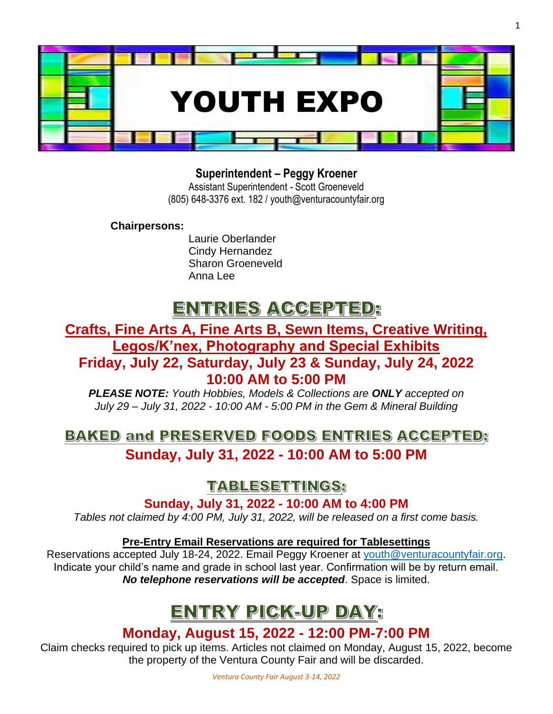

1

## **Superintendent – Peggy Kroener**

Assistant Superintendent - Scott Groeneveld (805) 648-3376 ext. 182 / youth@venturacountyfair.org

**Chairpersons:** 

Laurie Oberlander Cindy Hernandez Sharon Groeneveld Anna Lee

# ENTRIES ACCEPTED:

## **Crafts, Fine Arts A, Fine Arts B, Sewn Items, Creative Writing, Legos/K'nex, Photography and Special Exhibits Friday, July 22, Saturday, July 23 & Sunday, July 24, 2022**

## **10:00 AM to 5:00 PM**

*PLEASE NOTE: Youth Hobbies, Models & Collections are ONLY accepted on July 29 – July 31, 2022 - 10:00 AM - 5:00 PM in the Gem & Mineral Building*

## **BAKED and PRESERVED FOODS ENTRIES ACCEPTED: Sunday, July 31, 2022 - 10:00 AM to 5:00 PM**

## **TABLESETTINGS:**

**Sunday, July 31, 2022 - 10:00 AM to 4:00 PM**

*Tables not claimed by 4:00 PM, July 31, 2022, will be released on a first come basis.*

### **Pre-Entry Email Reservations are required for Tablesettings**

Reservations accepted July 18-24, 2022. Email Peggy Kroener at [youth@venturacountyfair.org.](mailto:youth@venturacountyfair.org) Indicate your child's name and grade in school last year. Confirmation will be by return email. *No telephone reservations will be accepted*. Space is limited.

# ENTRY PICK-UP DAY:

## **Monday, August 15, 2022 - 12:00 PM-7:00 PM**

Claim checks required to pick up items. Articles not claimed on Monday, August 15, 2022, become the property of the Ventura County Fair and will be discarded.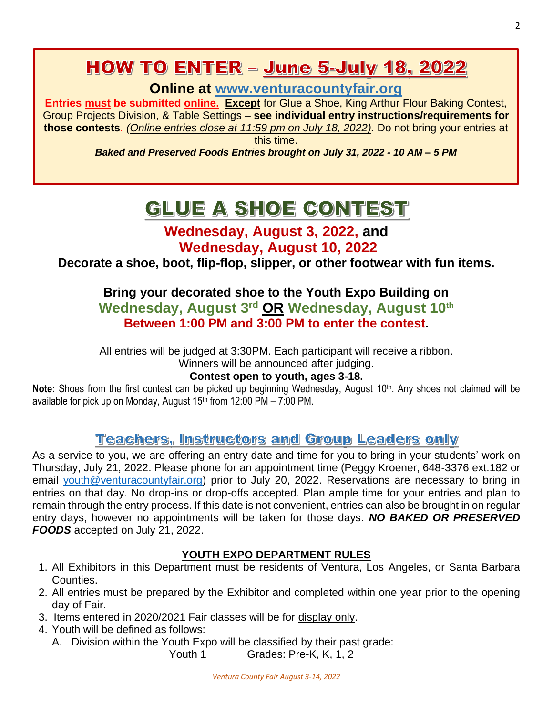# **HOW TO ENTER - June 5-July 18, 2022**

**Online at [www.venturacountyfair.org](http://www.venturacountyfair.org/)**

**Entries must be submitted online. Except** for Glue a Shoe, King Arthur Flour Baking Contest, Group Projects Division, & Table Settings – **see individual entry instructions/requirements for those contests***. (Online entries close at 11:59 pm on July 18, 2022).* Do not bring your entries at this time.

*Baked and Preserved Foods Entries brought on July 31, 2022 - 10 AM – 5 PM*

# GLUE A SHOE CONTEST

## **Wednesday, August 3, 2022, and Wednesday, August 10, 2022**

**Decorate a shoe, boot, flip-flop, slipper, or other footwear with fun items.**

**Bring your decorated shoe to the Youth Expo Building on Wednesday, August 3rd OR Wednesday, August 10th Between 1:00 PM and 3:00 PM to enter the contest.**

All entries will be judged at 3:30PM. Each participant will receive a ribbon. Winners will be announced after judging.

### **Contest open to youth, ages 3-18.**

**Note:** Shoes from the first contest can be picked up beginning Wednesday, August 10<sup>th</sup>. Any shoes not claimed will be available for pick up on Monday, August 15<sup>th</sup> from 12:00 PM – 7:00 PM.

## **Teachers, Instructors and Group Leaders only**

As a service to you, we are offering an entry date and time for you to bring in your students' work on Thursday, July 21, 2022. Please phone for an appointment time (Peggy Kroener, 648-3376 ext.182 or email [youth@venturacountyfair.org\)](mailto:youth@venturacountyfair.org) prior to July 20, 2022. Reservations are necessary to bring in entries on that day. No drop-ins or drop-offs accepted. Plan ample time for your entries and plan to remain through the entry process. If this date is not convenient, entries can also be brought in on regular entry days, however no appointments will be taken for those days. *NO BAKED OR PRESERVED FOODS* accepted on July 21, 2022.

### **YOUTH EXPO DEPARTMENT RULES**

- 1. All Exhibitors in this Department must be residents of Ventura, Los Angeles, or Santa Barbara Counties.
- 2. All entries must be prepared by the Exhibitor and completed within one year prior to the opening day of Fair.
- 3. Items entered in 2020/2021 Fair classes will be for display only.
- 4. Youth will be defined as follows:
	- A. Division within the Youth Expo will be classified by their past grade:

Youth 1 Grades: Pre-K, K, 1, 2

2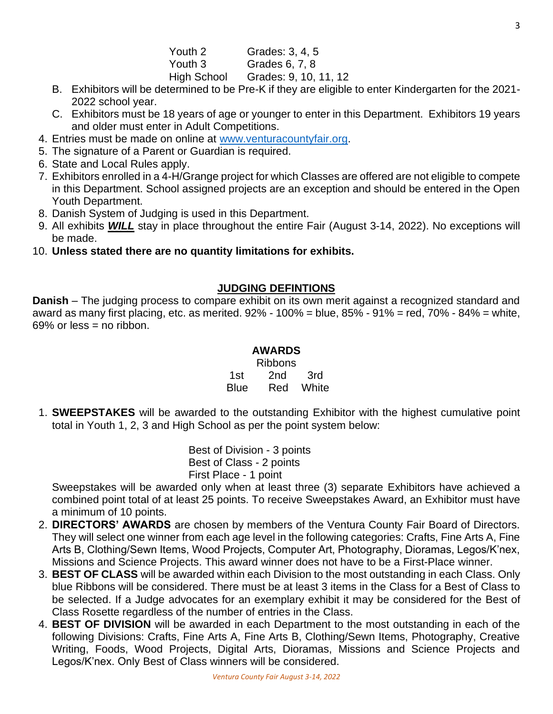- B. Exhibitors will be determined to be Pre-K if they are eligible to enter Kindergarten for the 2021- 2022 school year.
- C. Exhibitors must be 18 years of age or younger to enter in this Department. Exhibitors 19 years and older must enter in Adult Competitions.
- 4. Entries must be made on online at [www.venturacountyfair.org.](http://www.venturacountyfair.org/)
- 5. The signature of a Parent or Guardian is required.
- 6. State and Local Rules apply.
- 7. Exhibitors enrolled in a 4-H/Grange project for which Classes are offered are not eligible to compete in this Department. School assigned projects are an exception and should be entered in the Open Youth Department.
- 8. Danish System of Judging is used in this Department.
- 9. All exhibits *WILL* stay in place throughout the entire Fair (August 3-14, 2022). No exceptions will be made.
- 10. **Unless stated there are no quantity limitations for exhibits.**

### **JUDGING DEFINTIONS**

**Danish** – The judging process to compare exhibit on its own merit against a recognized standard and award as many first placing, etc. as merited.  $92\%$  - 100% = blue,  $85\%$  -  $91\%$  = red,  $70\%$  -  $84\%$  = white,  $69\%$  or less = no ribbon.

### **AWARDS**

Ribbons 1st 2nd 3rd Blue Red White

1. **SWEEPSTAKES** will be awarded to the outstanding Exhibitor with the highest cumulative point total in Youth 1, 2, 3 and High School as per the point system below:

> Best of Division - 3 points Best of Class - 2 points First Place - 1 point

Sweepstakes will be awarded only when at least three (3) separate Exhibitors have achieved a combined point total of at least 25 points. To receive Sweepstakes Award, an Exhibitor must have a minimum of 10 points.

- 2. **DIRECTORS' AWARDS** are chosen by members of the Ventura County Fair Board of Directors. They will select one winner from each age level in the following categories: Crafts, Fine Arts A, Fine Arts B, Clothing/Sewn Items, Wood Projects, Computer Art, Photography, Dioramas, Legos/K'nex, Missions and Science Projects. This award winner does not have to be a First-Place winner.
- 3. **BEST OF CLASS** will be awarded within each Division to the most outstanding in each Class. Only blue Ribbons will be considered. There must be at least 3 items in the Class for a Best of Class to be selected. If a Judge advocates for an exemplary exhibit it may be considered for the Best of Class Rosette regardless of the number of entries in the Class.
- 4. **BEST OF DIVISION** will be awarded in each Department to the most outstanding in each of the following Divisions: Crafts, Fine Arts A, Fine Arts B, Clothing/Sewn Items, Photography, Creative Writing, Foods, Wood Projects, Digital Arts, Dioramas, Missions and Science Projects and Legos/K'nex. Only Best of Class winners will be considered.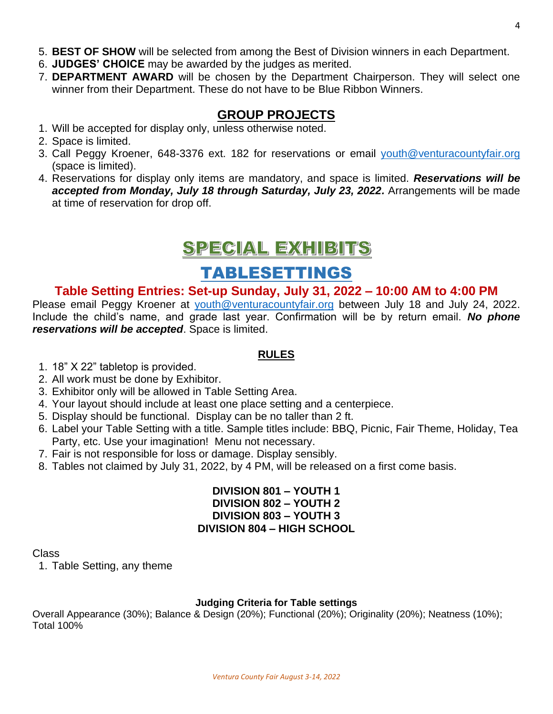- 5. **BEST OF SHOW** will be selected from among the Best of Division winners in each Department.
- 6. **JUDGES' CHOICE** may be awarded by the judges as merited.
- 7. **DEPARTMENT AWARD** will be chosen by the Department Chairperson. They will select one winner from their Department. These do not have to be Blue Ribbon Winners.

### **GROUP PROJECTS**

- 1. Will be accepted for display only, unless otherwise noted.
- 2. Space is limited.
- 3. Call Peggy Kroener, 648-3376 ext. 182 for reservations or email [youth@venturacountyfair.org](mailto:youth@venturacountyfair.org) (space is limited).
- 4. Reservations for display only items are mandatory, and space is limited. *Reservations will be*  accepted from Monday, July 18 through Saturday, July 23, 2022. Arrangements will be made at time of reservation for drop off.

# SPECIAL EXHIBITS

## TABLESETTINGS

### **Table Setting Entries: Set-up Sunday, July 31, 2022 – 10:00 AM to 4:00 PM**

Please email Peggy Kroener at [youth@venturacountyfair.org](mailto:youth@venturacountyfair.org) between July 18 and July 24, 2022. Include the child's name, and grade last year. Confirmation will be by return email. *No phone reservations will be accepted*. Space is limited.

#### **RULES**

- 1. 18" X 22" tabletop is provided.
- 2. All work must be done by Exhibitor.
- 3. Exhibitor only will be allowed in Table Setting Area.
- 4. Your layout should include at least one place setting and a centerpiece.
- 5. Display should be functional. Display can be no taller than 2 ft.
- 6. Label your Table Setting with a title. Sample titles include: BBQ, Picnic, Fair Theme, Holiday, Tea Party, etc. Use your imagination! Menu not necessary.
- 7. Fair is not responsible for loss or damage. Display sensibly.
- 8. Tables not claimed by July 31, 2022, by 4 PM, will be released on a first come basis.

#### **DIVISION 801 – YOUTH 1 DIVISION 802 – YOUTH 2 DIVISION 803 – YOUTH 3 DIVISION 804 – HIGH SCHOOL**

Class

1. Table Setting, any theme

#### **Judging Criteria for Table settings**

Overall Appearance (30%); Balance & Design (20%); Functional (20%); Originality (20%); Neatness (10%); Total 100%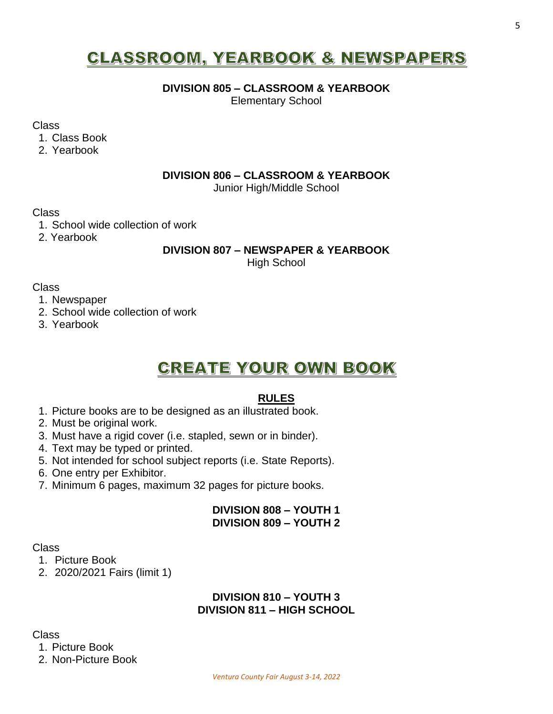# **CLASSROOM, YEARBOOK & NEWSPAPERS**

#### **DIVISION 805 – CLASSROOM & YEARBOOK**

Elementary School

Class

1. Class Book

2. Yearbook

#### **DIVISION 806 – CLASSROOM & YEARBOOK**

Junior High/Middle School

Class

- 1. School wide collection of work
- 2. Yearbook

#### **DIVISION 807 – NEWSPAPER & YEARBOOK**

High School

Class

- 1. Newspaper
- 2. School wide collection of work
- 3. Yearbook

## **CREATE YOUR OWN BOOK**

#### **RULES**

- 1. Picture books are to be designed as an illustrated book.
- 2. Must be original work.
- 3. Must have a rigid cover (i.e. stapled, sewn or in binder).
- 4. Text may be typed or printed.
- 5. Not intended for school subject reports (i.e. State Reports).
- 6. One entry per Exhibitor.
- 7. Minimum 6 pages, maximum 32 pages for picture books.

### **DIVISION 808 – YOUTH 1 DIVISION 809 – YOUTH 2**

#### Class

- 1. Picture Book
- 2. 2020/2021 Fairs (limit 1)

### **DIVISION 810 – YOUTH 3 DIVISION 811 – HIGH SCHOOL**

Class

1. Picture Book

2. Non-Picture Book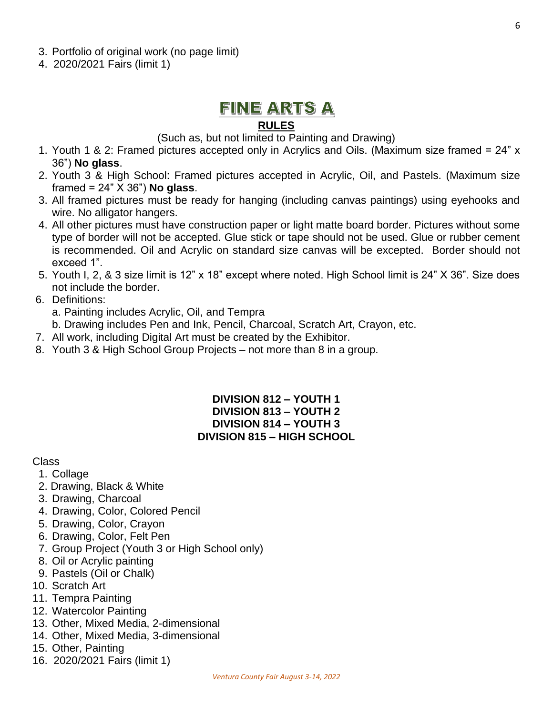- 3. Portfolio of original work (no page limit)
- 4. 2020/2021 Fairs (limit 1)

## FINE ARTS A

### **RULES**

(Such as, but not limited to Painting and Drawing)

- 1. Youth 1 & 2: Framed pictures accepted only in Acrylics and Oils. (Maximum size framed = 24" x 36") **No glass**.
- 2. Youth 3 & High School: Framed pictures accepted in Acrylic, Oil, and Pastels. (Maximum size framed = 24" X 36") **No glass**.
- 3. All framed pictures must be ready for hanging (including canvas paintings) using eyehooks and wire. No alligator hangers.
- 4. All other pictures must have construction paper or light matte board border. Pictures without some type of border will not be accepted. Glue stick or tape should not be used. Glue or rubber cement is recommended. Oil and Acrylic on standard size canvas will be excepted. Border should not exceed 1".
- 5. Youth I, 2, & 3 size limit is 12" x 18" except where noted. High School limit is 24" X 36". Size does not include the border.
- 6. Definitions:
	- a. Painting includes Acrylic, Oil, and Tempra
	- b. Drawing includes Pen and Ink, Pencil, Charcoal, Scratch Art, Crayon, etc.
- 7. All work, including Digital Art must be created by the Exhibitor.
- 8. Youth 3 & High School Group Projects not more than 8 in a group.

#### **DIVISION 812 – YOUTH 1 DIVISION 813 – YOUTH 2 DIVISION 814 – YOUTH 3 DIVISION 815 – HIGH SCHOOL**

#### Class

- 1. Collage
- 2. Drawing, Black & White
- 3. Drawing, Charcoal
- 4. Drawing, Color, Colored Pencil
- 5. Drawing, Color, Crayon
- 6. Drawing, Color, Felt Pen
- 7. Group Project (Youth 3 or High School only)
- 8. Oil or Acrylic painting
- 9. Pastels (Oil or Chalk)
- 10. Scratch Art
- 11. Tempra Painting
- 12. Watercolor Painting
- 13. Other, Mixed Media, 2-dimensional
- 14. Other, Mixed Media, 3-dimensional
- 15. Other, Painting
- 16. 2020/2021 Fairs (limit 1)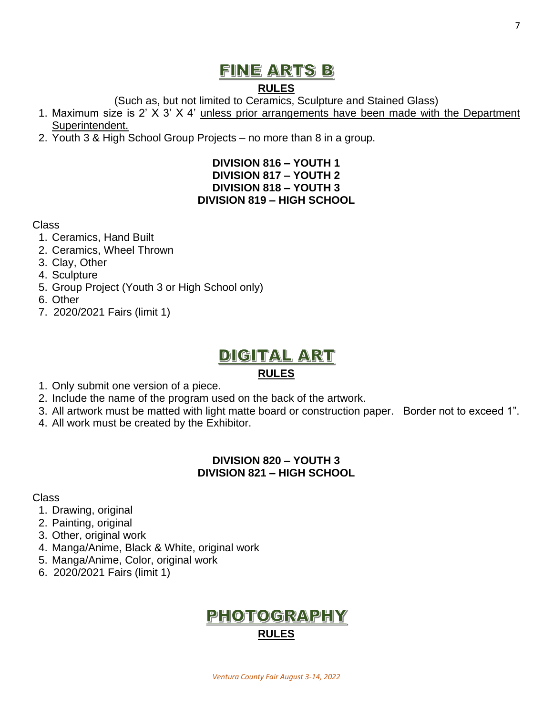# FINE ARTS B

## **RULES**

(Such as, but not limited to Ceramics, Sculpture and Stained Glass)

- 1. Maximum size is 2' X 3' X 4' unless prior arrangements have been made with the Department Superintendent.
- 2. Youth 3 & High School Group Projects no more than 8 in a group.

### **DIVISION 816 – YOUTH 1 DIVISION 817 – YOUTH 2 DIVISION 818 – YOUTH 3 DIVISION 819 – HIGH SCHOOL**

### Class

- 1. Ceramics, Hand Built
- 2. Ceramics, Wheel Thrown
- 3. Clay, Other
- 4. Sculpture
- 5. Group Project (Youth 3 or High School only)
- 6. Other
- 7. 2020/2021 Fairs (limit 1)

# DIGITAL ART

## **RULES**

- 1. Only submit one version of a piece.
- 2. Include the name of the program used on the back of the artwork.
- 3. All artwork must be matted with light matte board or construction paper. Border not to exceed 1".
- 4. All work must be created by the Exhibitor.

### **DIVISION 820 – YOUTH 3 DIVISION 821 – HIGH SCHOOL**

### Class

- 1. Drawing, original
- 2. Painting, original
- 3. Other, original work
- 4. Manga/Anime, Black & White, original work
- 5. Manga/Anime, Color, original work
- 6. 2020/2021 Fairs (limit 1)

## **PHOTOGRAPHY RULES**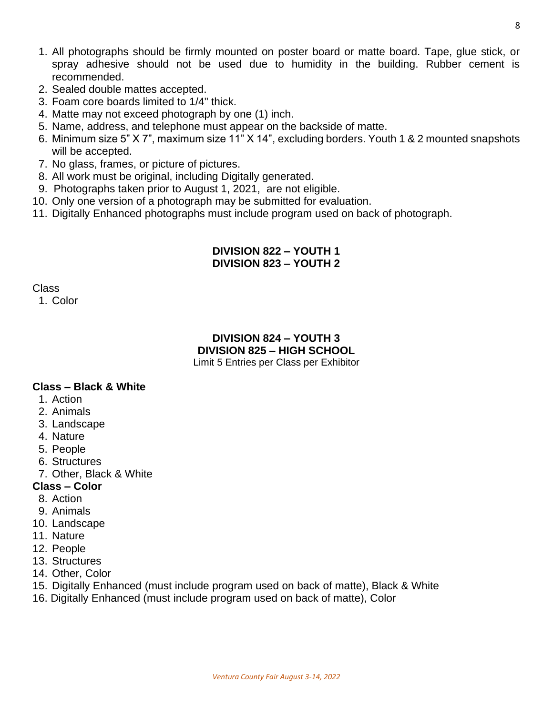- 1. All photographs should be firmly mounted on poster board or matte board. Tape, glue stick, or spray adhesive should not be used due to humidity in the building. Rubber cement is recommended.
- 2. Sealed double mattes accepted.
- 3. Foam core boards limited to 1/4" thick.
- 4. Matte may not exceed photograph by one (1) inch.
- 5. Name, address, and telephone must appear on the backside of matte.
- 6. Minimum size 5" X 7", maximum size 11" X 14", excluding borders. Youth 1 & 2 mounted snapshots will be accepted.
- 7. No glass, frames, or picture of pictures.
- 8. All work must be original, including Digitally generated.
- 9. Photographs taken prior to August 1, 2021, are not eligible.
- 10. Only one version of a photograph may be submitted for evaluation.
- 11. Digitally Enhanced photographs must include program used on back of photograph.

#### **DIVISION 822 – YOUTH 1 DIVISION 823 – YOUTH 2**

Class

1. Color

#### **DIVISION 824 – YOUTH 3 DIVISION 825 – HIGH SCHOOL** Limit 5 Entries per Class per Exhibitor

#### **Class – Black & White**

- 1. Action
- 2. Animals
- 3. Landscape
- 4. Nature
- 5. People
- 6. Structures
- 7. Other, Black & White
- **Class – Color**
- 8. Action
- 9. Animals
- 10. Landscape
- 11. Nature
- 12. People
- 13. Structures
- 14. Other, Color
- 15. Digitally Enhanced (must include program used on back of matte), Black & White
- 16. Digitally Enhanced (must include program used on back of matte), Color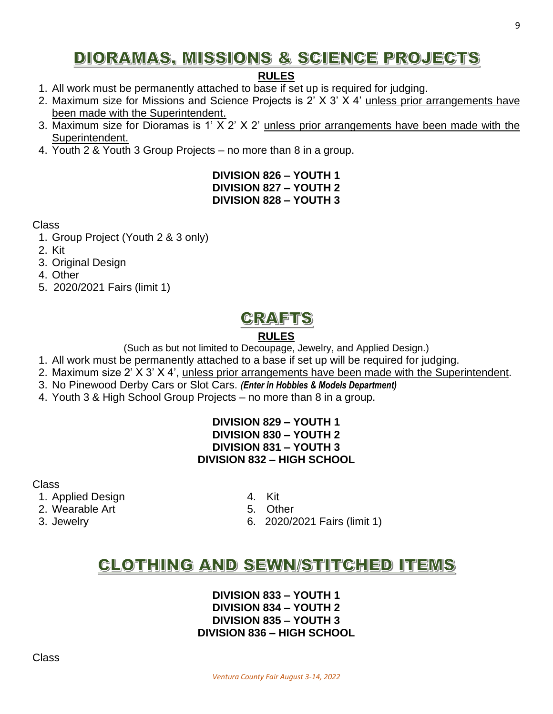# **DIORAMAS, MISSIONS & SCIENCE PROJECTS**

## **RULES**

- 1. All work must be permanently attached to base if set up is required for judging.
- 2. Maximum size for Missions and Science Projects is 2' X 3' X 4' unless prior arrangements have been made with the Superintendent.
- 3. Maximum size for Dioramas is 1' X 2' X 2' unless prior arrangements have been made with the Superintendent.
- 4. Youth 2 & Youth 3 Group Projects no more than 8 in a group.

### **DIVISION 826 – YOUTH 1 DIVISION 827 – YOUTH 2 DIVISION 828 – YOUTH 3**

Class

- 1. Group Project (Youth 2 & 3 only)
- 2. Kit
- 3. Original Design
- 4. Other
- 5. 2020/2021 Fairs (limit 1)

# **CRAFTS**

## **RULES**

(Such as but not limited to Decoupage, Jewelry, and Applied Design.)

- 1. All work must be permanently attached to a base if set up will be required for judging.
- 2. Maximum size 2' X 3' X 4', unless prior arrangements have been made with the Superintendent.
- 3. No Pinewood Derby Cars or Slot Cars. *(Enter in Hobbies & Models Department)*
- 4. Youth 3 & High School Group Projects no more than 8 in a group.

#### **DIVISION 829 – YOUTH 1 DIVISION 830 – YOUTH 2 DIVISION 831 – YOUTH 3 DIVISION 832 – HIGH SCHOOL**

Class

- 1. Applied Design 1. Applied  $\frac{1}{2}$
- 2. Wearable Art 6. Other
- 
- 
- 
- 3. Jewelry 6. 2020/2021 Fairs (limit 1)

# **CLOTHING AND SEWN/STITCHED ITEMS**

#### **DIVISION 833 – YOUTH 1 DIVISION 834 – YOUTH 2 DIVISION 835 – YOUTH 3 DIVISION 836 – HIGH SCHOOL**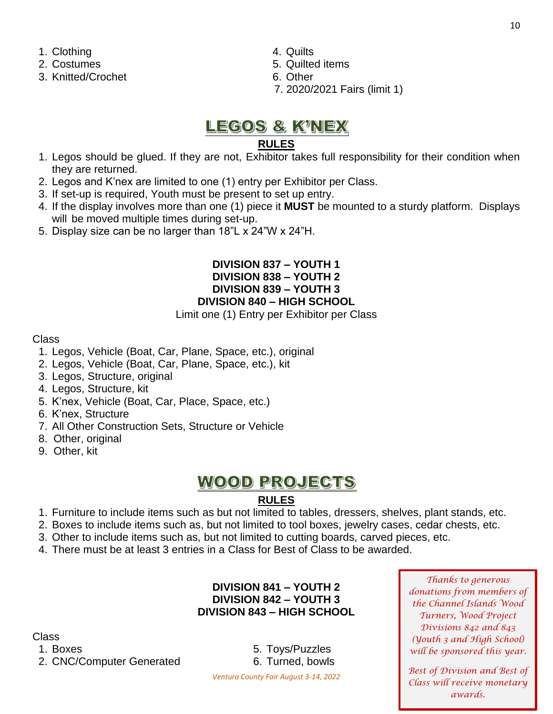- 1. Clothing 4. Quilts
- 
- 3. Knitted/Crochet 6. Other
- 
- 2. Costumes 2. Costumes 2. Costumes 2. Costumes 2. Costumes 2. Costumes 2. Costumes 2. Costumes 2. Costumes 2. Costumes 2. Costumes 2. Costumes 2. Costumes 2. Costumes 2. Costumes 2. Costumes 2. Costumes 2. Costumes 2. Cos
	-
	- 7. 2020/2021 Fairs (limit 1)

## <u>LEGOS & K'NEX</u>

#### **RULES**

- 1. Legos should be glued. If they are not, Exhibitor takes full responsibility for their condition when they are returned.
- 2. Legos and K'nex are limited to one (1) entry per Exhibitor per Class.
- 3. If set-up is required, Youth must be present to set up entry.
- 4. If the display involves more than one (1) piece it **MUST** be mounted to a sturdy platform. Displays will be moved multiple times during set-up.
- 5. Display size can be no larger than 18"L x 24"W x 24"H.

#### **DIVISION 837 – YOUTH 1 DIVISION 838 – YOUTH 2 DIVISION 839 – YOUTH 3 DIVISION 840 – HIGH SCHOOL**

Limit one (1) Entry per Exhibitor per Class

#### Class

- 1. Legos, Vehicle (Boat, Car, Plane, Space, etc.), original
- 2. Legos, Vehicle (Boat, Car, Plane, Space, etc.), kit
- 3. Legos, Structure, original
- 4. Legos, Structure, kit
- 5. K'nex, Vehicle (Boat, Car, Place, Space, etc.)
- 6. K'nex, Structure
- 7. All Other Construction Sets, Structure or Vehicle
- 8. Other, original
- 9. Other, kit

# **WOOD PROJECTS**

### **RULES**

- 1. Furniture to include items such as but not limited to tables, dressers, shelves, plant stands, etc.
- 2. Boxes to include items such as, but not limited to tool boxes, jewelry cases, cedar chests, etc.
- 3. Other to include items such as, but not limited to cutting boards, carved pieces, etc.
- 4. There must be at least 3 entries in a Class for Best of Class to be awarded.

### **DIVISION 841 – YOUTH 2 DIVISION 842 – YOUTH 3 DIVISION 843 – HIGH SCHOOL**

Class

1. Boxes 6. Toys/Puzzles 2. CNC/Computer Generated 6. Turned, bowls

*Thanks to generous donations from members of the Channel Islands Wood Turners, Wood Project Divisions 842 and 843 (Youth 3 and High School) will be sponsored this year.*

*Best of Division and Best of Class will receive monetary awards.*

*Ventura County Fair August 3-14, 2022*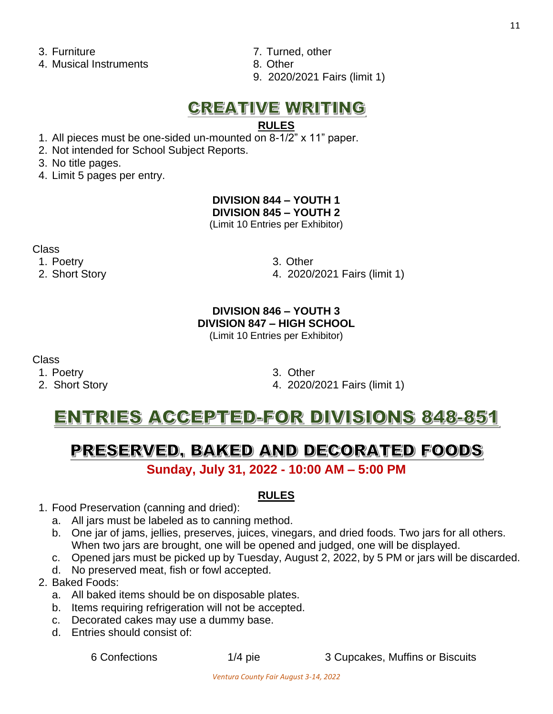4. Musical Instruments 6. Other

- 3. Furniture 7. Turned, other
	-
	- 9. 2020/2021 Fairs (limit 1)

# **CREATIVE WRITING**

## **RULES**

1. All pieces must be one-sided un-mounted on 8-1/2" x 11" paper.

2. Not intended for School Subject Reports.

3. No title pages.

4. Limit 5 pages per entry.

#### **DIVISION 844 – YOUTH 1 DIVISION 845 – YOUTH 2**

(Limit 10 Entries per Exhibitor)

Class

1. Poetry 3. Other

2. Short Story 4. 2020/2021 Fairs (limit 1)

## **DIVISION 846 – YOUTH 3 DIVISION 847 – HIGH SCHOOL**

(Limit 10 Entries per Exhibitor)

Class

- 1. Poetry 3. Other
- 

2. Short Story 4. 2020/2021 Fairs (limit 1)

# ENTRIES ACCEPTED-FOR DIVISIONS 848-851

# PRESERVED, BAKED AND DECORATED FOODS

**Sunday, July 31, 2022 - 10:00 AM – 5:00 PM**

### **RULES**

- 1. Food Preservation (canning and dried):
	- a. All jars must be labeled as to canning method.
	- b. One jar of jams, jellies, preserves, juices, vinegars, and dried foods. Two jars for all others. When two jars are brought, one will be opened and judged, one will be displayed.
	- c. Opened jars must be picked up by Tuesday, August 2, 2022, by 5 PM or jars will be discarded.
	- d. No preserved meat, fish or fowl accepted.
- 2. Baked Foods:
	- a. All baked items should be on disposable plates.
	- b. Items requiring refrigeration will not be accepted.
	- c. Decorated cakes may use a dummy base.
	- d. Entries should consist of:

6 Confections 1/4 pie 3 Cupcakes, Muffins or Biscuits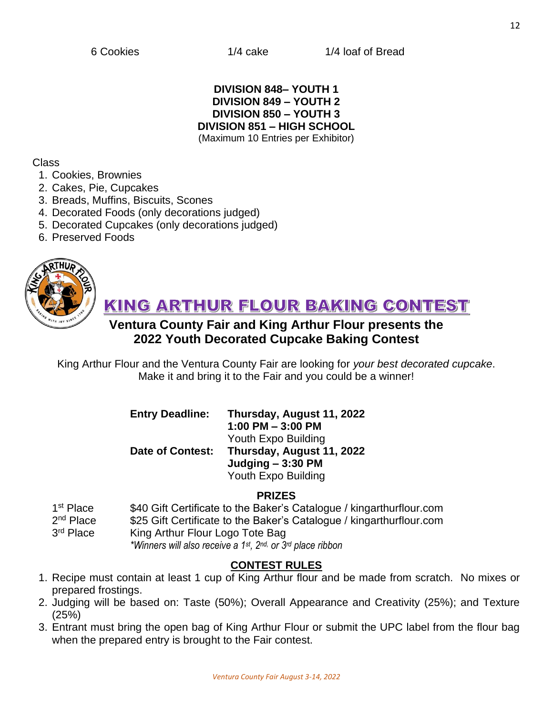#### **DIVISION 848– YOUTH 1 DIVISION 849 – YOUTH 2 DIVISION 850 – YOUTH 3 DIVISION 851 – HIGH SCHOOL** (Maximum 10 Entries per Exhibitor)

#### Class

- 1. Cookies, Brownies
- 2. Cakes, Pie, Cupcakes
- 3. Breads, Muffins, Biscuits, Scones
- 4. Decorated Foods (only decorations judged)
- 5. Decorated Cupcakes (only decorations judged)
- 6. Preserved Foods



KING ARTHUR FLOUR BAKING CONTEST

## **Ventura County Fair and King Arthur Flour presents the 2022 Youth Decorated Cupcake Baking Contest**

King Arthur Flour and the Ventura County Fair are looking for *your best decorated cupcake*. Make it and bring it to the Fair and you could be a winner!

### **Entry Deadline: Thursday, August 11, 2022 1:00 PM – 3:00 PM**  Youth Expo Building **Date of Contest: Thursday, August 11, 2022 Judging – 3:30 PM** Youth Expo Building

#### **PRIZES**

1<sup>st</sup> Place \$40 Gift Certificate to the Baker's Catalogue / kingarthurflour.com  $2<sup>nd</sup>$  Place \$25 Gift Certificate to the Baker's Catalogue / kingarthurflour.com 3<sup>rd</sup> Place King Arthur Flour Logo Tote Bag *\*Winners will also receive a 1st , 2 nd, or 3rd place ribbon*

### **CONTEST RULES**

- 1. Recipe must contain at least 1 cup of King Arthur flour and be made from scratch. No mixes or prepared frostings.
- 2. Judging will be based on: Taste (50%); Overall Appearance and Creativity (25%); and Texture (25%)
- 3. Entrant must bring the open bag of King Arthur Flour or submit the UPC label from the flour bag when the prepared entry is brought to the Fair contest.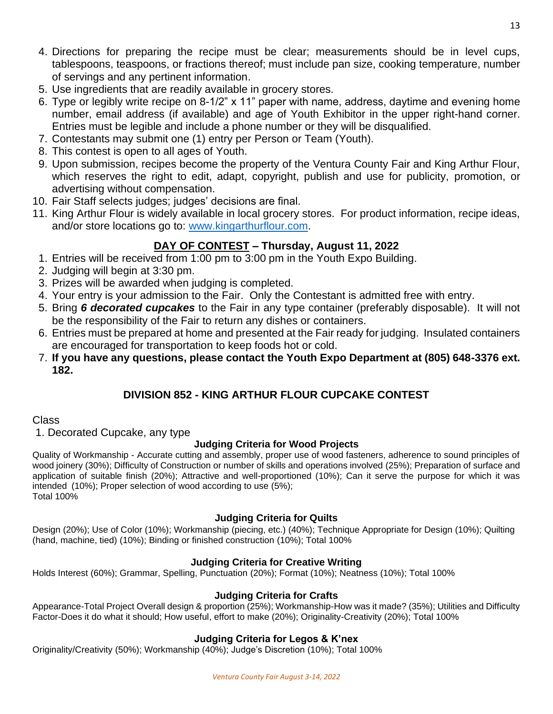- 4. Directions for preparing the recipe must be clear; measurements should be in level cups, tablespoons, teaspoons, or fractions thereof; must include pan size, cooking temperature, number of servings and any pertinent information.
- 5. Use ingredients that are readily available in grocery stores.
- 6. Type or legibly write recipe on 8-1/2" x 11" paper with name, address, daytime and evening home number, email address (if available) and age of Youth Exhibitor in the upper right-hand corner. Entries must be legible and include a phone number or they will be disqualified.
- 7. Contestants may submit one (1) entry per Person or Team (Youth).
- 8. This contest is open to all ages of Youth.
- 9. Upon submission, recipes become the property of the Ventura County Fair and King Arthur Flour, which reserves the right to edit, adapt, copyright, publish and use for publicity, promotion, or advertising without compensation.
- 10. Fair Staff selects judges; judges' decisions are final.
- 11. King Arthur Flour is widely available in local grocery stores. For product information, recipe ideas, and/or store locations go to: [www.kingarthurflour.com.](http://www.kingarthurflour.com/)

### **DAY OF CONTEST – Thursday, August 11, 2022**

- 1. Entries will be received from 1:00 pm to 3:00 pm in the Youth Expo Building.
- 2. Judging will begin at 3:30 pm.
- 3. Prizes will be awarded when judging is completed.
- 4. Your entry is your admission to the Fair. Only the Contestant is admitted free with entry.
- 5. Bring *6 decorated cupcakes* to the Fair in any type container (preferably disposable). It will not be the responsibility of the Fair to return any dishes or containers.
- 6. Entries must be prepared at home and presented at the Fair ready for judging. Insulated containers are encouraged for transportation to keep foods hot or cold.
- 7. **If you have any questions, please contact the Youth Expo Department at (805) 648-3376 ext. 182.**

### **DIVISION 852 - KING ARTHUR FLOUR CUPCAKE CONTEST**

#### Class

1. Decorated Cupcake, any type

#### **Judging Criteria for Wood Projects**

Quality of Workmanship - Accurate cutting and assembly, proper use of wood fasteners, adherence to sound principles of wood joinery (30%); Difficulty of Construction or number of skills and operations involved (25%); Preparation of surface and application of suitable finish (20%); Attractive and well-proportioned (10%); Can it serve the purpose for which it was intended (10%); Proper selection of wood according to use (5%); Total 100%

### **Judging Criteria for Quilts**

Design (20%); Use of Color (10%); Workmanship (piecing, etc.) (40%); Technique Appropriate for Design (10%); Quilting (hand, machine, tied) (10%); Binding or finished construction (10%); Total 100%

#### **Judging Criteria for Creative Writing**

Holds Interest (60%); Grammar, Spelling, Punctuation (20%); Format (10%); Neatness (10%); Total 100%

#### **Judging Criteria for Crafts**

Appearance-Total Project Overall design & proportion (25%); Workmanship-How was it made? (35%); Utilities and Difficulty Factor-Does it do what it should; How useful, effort to make (20%); Originality-Creativity (20%); Total 100%

#### **Judging Criteria for Legos & K'nex**

Originality/Creativity (50%); Workmanship (40%); Judge's Discretion (10%); Total 100%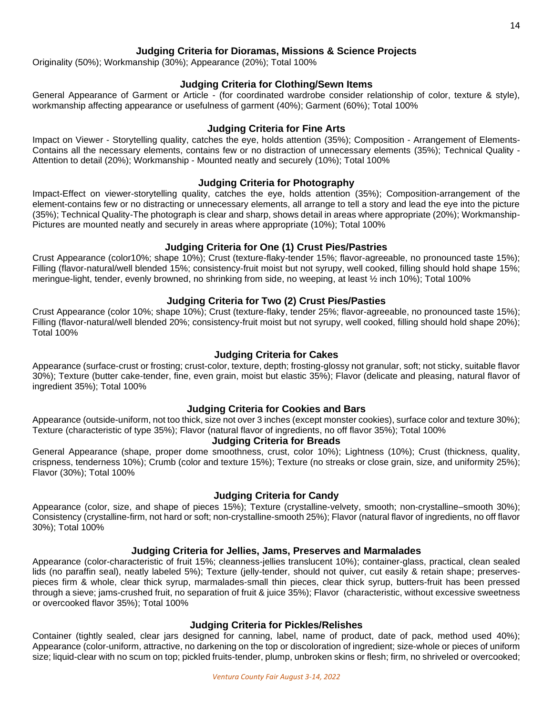#### **Judging Criteria for Dioramas, Missions & Science Projects**

Originality (50%); Workmanship (30%); Appearance (20%); Total 100%

#### **Judging Criteria for Clothing/Sewn Items**

General Appearance of Garment or Article - (for coordinated wardrobe consider relationship of color, texture & style), workmanship affecting appearance or usefulness of garment (40%); Garment (60%); Total 100%

#### **Judging Criteria for Fine Arts**

Impact on Viewer - Storytelling quality, catches the eye, holds attention (35%); Composition - Arrangement of Elements-Contains all the necessary elements, contains few or no distraction of unnecessary elements (35%); Technical Quality - Attention to detail (20%); Workmanship - Mounted neatly and securely (10%); Total 100%

#### **Judging Criteria for Photography**

Impact-Effect on viewer-storytelling quality, catches the eye, holds attention (35%); Composition-arrangement of the element-contains few or no distracting or unnecessary elements, all arrange to tell a story and lead the eye into the picture (35%); Technical Quality-The photograph is clear and sharp, shows detail in areas where appropriate (20%); Workmanship-Pictures are mounted neatly and securely in areas where appropriate (10%); Total 100%

#### **Judging Criteria for One (1) Crust Pies/Pastries**

Crust Appearance (color10%; shape 10%); Crust (texture-flaky-tender 15%; flavor-agreeable, no pronounced taste 15%); Filling (flavor-natural/well blended 15%; consistency-fruit moist but not syrupy, well cooked, filling should hold shape 15%; meringue-light, tender, evenly browned, no shrinking from side, no weeping, at least ½ inch 10%); Total 100%

#### **Judging Criteria for Two (2) Crust Pies/Pasties**

Crust Appearance (color 10%; shape 10%); Crust (texture-flaky, tender 25%; flavor-agreeable, no pronounced taste 15%); Filling (flavor-natural/well blended 20%; consistency-fruit moist but not syrupy, well cooked, filling should hold shape 20%); Total 100%

#### **Judging Criteria for Cakes**

Appearance (surface-crust or frosting; crust-color, texture, depth; frosting-glossy not granular, soft; not sticky, suitable flavor 30%); Texture (butter cake-tender, fine, even grain, moist but elastic 35%); Flavor (delicate and pleasing, natural flavor of ingredient 35%); Total 100%

#### **Judging Criteria for Cookies and Bars**

Appearance (outside-uniform, not too thick, size not over 3 inches (except monster cookies), surface color and texture 30%); Texture (characteristic of type 35%); Flavor (natural flavor of ingredients, no off flavor 35%); Total 100%

#### **Judging Criteria for Breads**

General Appearance (shape, proper dome smoothness, crust, color 10%); Lightness (10%); Crust (thickness, quality, crispness, tenderness 10%); Crumb (color and texture 15%); Texture (no streaks or close grain, size, and uniformity 25%); Flavor (30%); Total 100%

#### **Judging Criteria for Candy**

Appearance (color, size, and shape of pieces 15%); Texture (crystalline-velvety, smooth; non-crystalline–smooth 30%); Consistency (crystalline-firm, not hard or soft; non-crystalline-smooth 25%); Flavor (natural flavor of ingredients, no off flavor 30%); Total 100%

#### **Judging Criteria for Jellies, Jams, Preserves and Marmalades**

Appearance (color-characteristic of fruit 15%; cleanness-jellies translucent 10%); container-glass, practical, clean sealed lids (no paraffin seal), neatly labeled 5%); Texture (jelly-tender, should not quiver, cut easily & retain shape; preservespieces firm & whole, clear thick syrup, marmalades-small thin pieces, clear thick syrup, butters-fruit has been pressed through a sieve; jams-crushed fruit, no separation of fruit & juice 35%); Flavor (characteristic, without excessive sweetness or overcooked flavor 35%); Total 100%

#### **Judging Criteria for Pickles/Relishes**

Container (tightly sealed, clear jars designed for canning, label, name of product, date of pack, method used 40%); Appearance (color-uniform, attractive, no darkening on the top or discoloration of ingredient; size-whole or pieces of uniform size; liquid-clear with no scum on top; pickled fruits-tender, plump, unbroken skins or flesh; firm, no shriveled or overcooked;